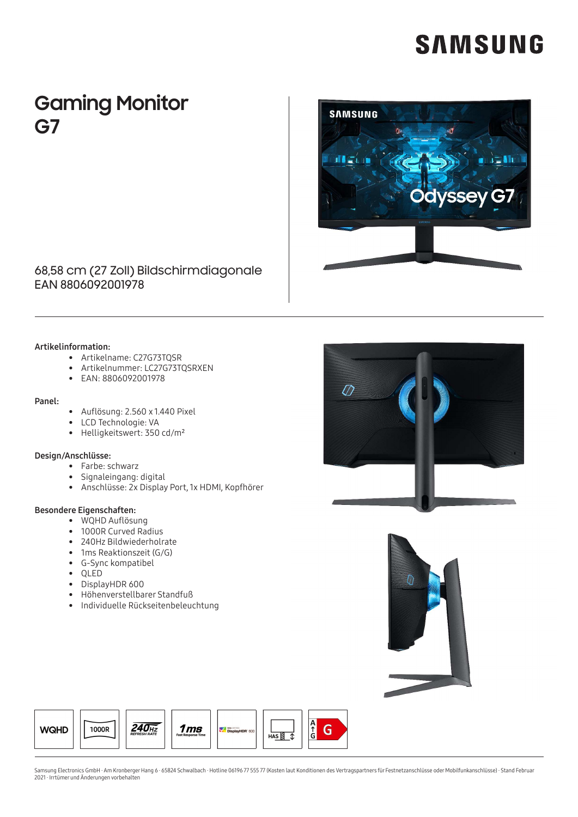# **SAMSUNG**

### **Gaming Monitor** G7



### 68,58 cm (27 Zoll) Bildschirmdiagonale EAN 8806092001978

#### Artikelinformation:

- Artikelname: C27G73TOSR
- Artikelnummer: LC27G73TOSRXEN
- EAN: 8806092001978

#### Panel:

- Auflösung: 2.560 x 1.440 Pixel
- LCD Technologie: VA
- Helligkeitswert: 350 cd/m<sup>2</sup>

#### Design/Anschlüsse:

- Farbe: schwarz
- Signaleingang: digital
- Anschlüsse: 2x Display Port, 1x HDMI, Kopfhörer

#### Besondere Eigenschaften:

- WQHD Auflösung
- 1000R Curved Radius
- 240Hz Bildwiederholrate
- 1ms Reaktionszeit (G/G)
- G-Sync kompatibel
- QLED
- DisplayHDR 600
- Höhenverstellbarer Standfuß
- Individuelle Rückseitenbeleuchtung







Samsung Electronics GmbH · Am Kronberger Hang 6 · 65824 Schwalbach · Hotline 06196 77 555 77 (Kosten laut Konditionen des Vertragspartners für Festnetzanschlüsse oder Mobilfunkanschlüsse) · Stand Februar<br>2021 · Irrtümer un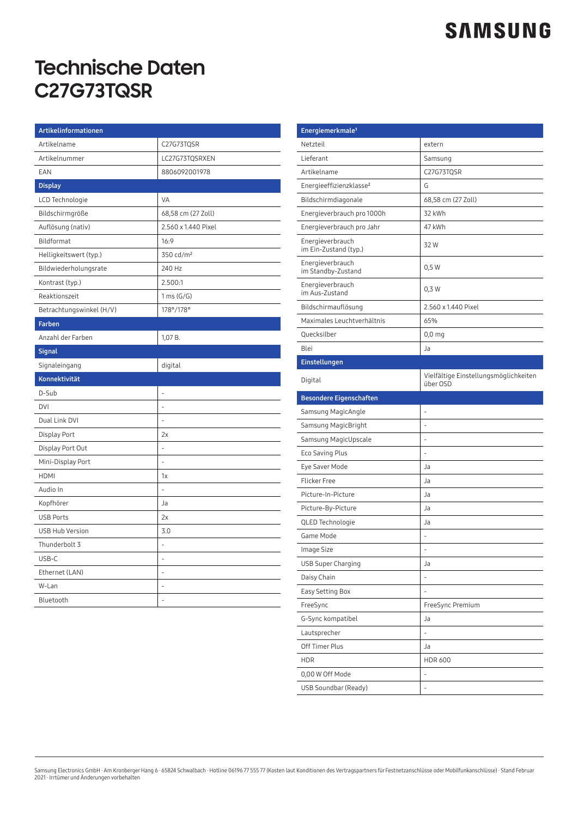## **SAMSUNG**

## **Technische Daten C27G73TQSR**

| Artikelinformationen     |                       |
|--------------------------|-----------------------|
| Artikelname              | C27G73TQSR            |
| Artikelnummer            | LC27G73TQSRXEN        |
| EAN                      | 8806092001978         |
| <b>Display</b>           |                       |
| LCD Technologie          | <b>VA</b>             |
| Bildschirmgröße          | 68,58 cm (27 Zoll)    |
| Auflösung (nativ)        | 2.560 x 1.440 Pixel   |
| Bildformat               | 16:9                  |
| Helligkeitswert (typ.)   | 350 cd/m <sup>2</sup> |
| Bildwiederholungsrate    | 240 Hz                |
| Kontrast (typ.)          | 2.500:1               |
| Reaktionszeit            | 1 ms (G/G)            |
| Betrachtungswinkel (H/V) | 178°/178°             |
| Farben                   |                       |
| Anzahl der Farben        | 1,07 B.               |
| <b>Signal</b>            |                       |
| Signaleingang            | digital               |
| Konnektivität            |                       |
| D-Sub                    |                       |
| <b>DVI</b>               | L,                    |
| Dual Link DVI            |                       |
| Display Port             | 2x                    |
| Display Port Out         | $\overline{a}$        |
| Mini-Display Port        | L,                    |
| <b>HDMI</b>              | 1x                    |
| Audio In                 |                       |
| Kopfhörer                | Ja                    |
| <b>USB Ports</b>         | 2x                    |
| <b>USB Hub Version</b>   | 3.0                   |
| Thunderbolt 3            | $\overline{a}$        |
| USB-C                    |                       |
| Ethernet (LAN)           | ÷,                    |
| W-Lan                    | L,                    |
| Bluetooth                | $\overline{a}$        |

| Energiemerkmale <sup>1</sup>              |                                                   |
|-------------------------------------------|---------------------------------------------------|
| Netzteil                                  | extern                                            |
| Lieferant                                 | Samsung                                           |
| Artikelname                               | C27G73TQSR                                        |
| Energieeffizienzklasse <sup>2</sup>       | G                                                 |
| Bildschirmdiagonale                       | 68,58 cm (27 Zoll)                                |
| Energieverbrauch pro 1000h                | 32 kWh                                            |
| Energieverbrauch pro Jahr                 | 47 kWh                                            |
| Energieverbrauch<br>im Ein-Zustand (typ.) | 32W                                               |
| Energieverbrauch<br>im Standby-Zustand    | 0,5 W                                             |
| Energieverbrauch<br>im Aus-Zustand        | $0,3$ W                                           |
| Bildschirmauflösung                       | 2.560 x 1.440 Pixel                               |
| Maximales Leuchtverhältnis                | 65%                                               |
| Quecksilber                               | $0,0$ mg                                          |
| Blei                                      | Ja                                                |
| Einstellungen                             |                                                   |
| Digital                                   | Vielfältige Einstellungsmöglichkeiten<br>über OSD |
| <b>Besondere Eigenschaften</b>            |                                                   |
| Samsung MagicAngle                        | ٠                                                 |
| Samsung MagicBright                       |                                                   |
| Samsung MagicUpscale                      | L                                                 |
| Eco Saving Plus                           |                                                   |
| Eye Saver Mode                            | Ja                                                |
| <b>Flicker Free</b>                       | Ja                                                |
| Picture-In-Picture                        | Ja                                                |
| Picture-By-Picture                        | Ja                                                |
| QLED Technologie                          | Ja                                                |
| Game Mode                                 |                                                   |
| Image Size                                | ÷,                                                |
| USB Super Charging                        | Ja                                                |
| Daisy Chain                               | $\overline{a}$                                    |
| Easy Setting Box                          | -                                                 |
| FreeSync                                  | FreeSync Premium                                  |
| G-Sync kompatibel                         | Ja                                                |
| Lautsprecher                              | $\overline{a}$                                    |
| Off Timer Plus                            | Ja                                                |
| <b>HDR</b>                                | <b>HDR 600</b>                                    |
| 0,00 W Off Mode                           |                                                   |
| USB Soundbar (Ready)                      |                                                   |